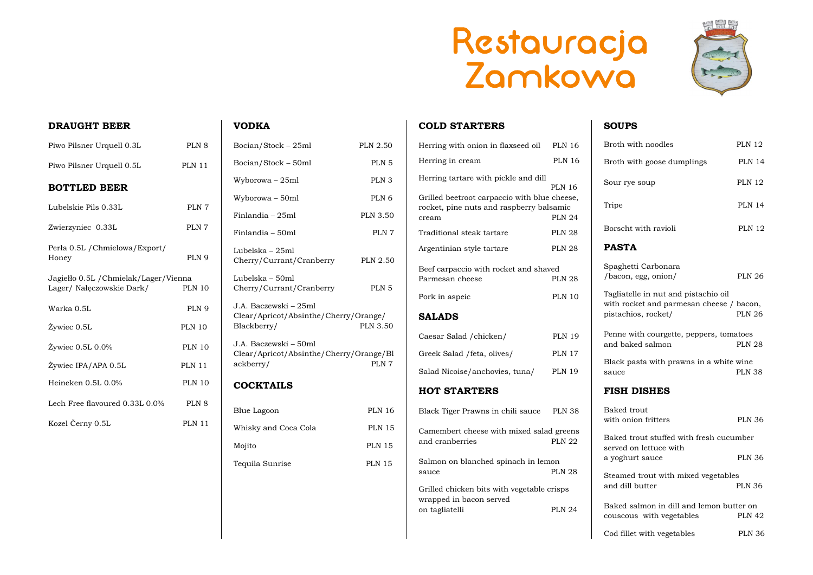# Restauracja<br>Zamkowa

## **DRAUGHT BEER**

| Piwo Pilsner Urquell 0.3L                                          | PLN 8            |
|--------------------------------------------------------------------|------------------|
| Piwo Pilsner Urquell 0.5L                                          | <b>PLN 11</b>    |
| <b>BOTTLED BEER</b>                                                |                  |
| Lubelskie Pils 0.33L                                               | PLN 7            |
| Zwierzyniec 0.33L                                                  | PLN 7            |
| Perła 0.5L / Chmielowa/Export/<br>Honey                            | PLN 9            |
| Jagiełło 0.5L / Chmielak/Lager/Vienna<br>Lager/ Nałęczowskie Dark/ | <b>PLN 10</b>    |
| Warka 0.5L                                                         | PLN 9            |
| Żywiec 0.5L                                                        | <b>PLN 10</b>    |
| $\dot{Z}$ ywiec 0.5L 0.0%                                          | <b>PLN 10</b>    |
| Żywiec IPA/APA 0.5L                                                | <b>PLN 11</b>    |
| Heineken 0.5L 0.0%                                                 | <b>PLN 10</b>    |
| Lech Free flavoured 0.33L 0.0%                                     | PLN <sub>8</sub> |
| Kozel Černy 0.5L                                                   | <b>PLN 11</b>    |

# **VODKA**

| Bocian/Stock - 25ml                                                           | <b>PLN 2.50</b>  |
|-------------------------------------------------------------------------------|------------------|
| Bocian/Stock - 50ml                                                           | PLN <sub>5</sub> |
| Wyborowa – 25ml                                                               | PLN <sub>3</sub> |
| Wyborowa - 50ml                                                               | PLN <sub>6</sub> |
| Finlandia - 25ml                                                              | <b>PLN 3.50</b>  |
| Finlandia - 50ml                                                              | PLN 7            |
| Lubelska – 25ml<br>Cherry/Currant/Cranberry                                   | <b>PLN 2.50</b>  |
| Lubelska - 50ml<br>Cherry/Currant/Cranberry                                   | PLN <sub>5</sub> |
| J.A. Baczewski – 25ml<br>Clear/Apricot/Absinthe/Cherry/Orange/<br>Blackberry/ | <b>PLN 3.50</b>  |
| J.A. Baczewski – 50ml<br>Clear/Apricot/Absinthe/Cherry/Orange/Bl<br>ackberry/ | PLN 7            |
| <b>COCKTAILS</b>                                                              |                  |
| <b>Blue Lagoon</b>                                                            | <b>PLN 16</b>    |
| Whisky and Coca Cola                                                          | <b>PLN 15</b>    |
| Mojito                                                                        | <b>PLN 15</b>    |
| Tequila Sunrise                                                               | <b>PLN 15</b>    |

### **COLD STARTERS**

| Herring with onion in flaxseed oil                                                                | <b>PLN 16</b>                  |
|---------------------------------------------------------------------------------------------------|--------------------------------|
| Herring in cream                                                                                  | <b>PLN 16</b>                  |
| Herring tartare with pickle and dill                                                              |                                |
| Grilled beetroot carpaccio with blue cheese,<br>rocket, pine nuts and raspberry balsamic<br>cream | <b>PLN 16</b><br><b>PLN 24</b> |
| Traditional steak tartare                                                                         | <b>PLN 28</b>                  |
| Argentinian style tartare                                                                         | <b>PLN 28</b>                  |
| Beef carpaccio with rocket and shaved<br>Parmesan cheese                                          | <b>PLN 28</b>                  |
| Pork in aspeic                                                                                    | <b>PLN 10</b>                  |
| <b>SALADS</b>                                                                                     |                                |
| Caesar Salad / chicken/                                                                           | <b>PLN 19</b>                  |
| Greek Salad / feta, olives/                                                                       | <b>PLN 17</b>                  |
| Salad Nicoise/anchovies, tuna/                                                                    | <b>PLN 19</b>                  |
| <b>HOT STARTERS</b>                                                                               |                                |
| Black Tiger Prawns in chili sauce                                                                 | <b>PLN 38</b>                  |
| Camembert cheese with mixed salad greens<br>and cranberries                                       | <b>PLN 22</b>                  |
| Salmon on blanched spinach in lemon                                                               | <b>PLN 28</b>                  |
| sauce                                                                                             |                                |
| Grilled chicken bits with vegetable crisps<br>wrapped in bacon served                             |                                |
| on tagliatelli                                                                                    | <b>PLN 24</b>                  |





# **SOUPS**

| Broth with noodles                                                                                      | <b>PLN 12</b> |
|---------------------------------------------------------------------------------------------------------|---------------|
| Broth with goose dumplings                                                                              | <b>PLN 14</b> |
| Sour rye soup                                                                                           | <b>PLN 12</b> |
| Tripe                                                                                                   | <b>PLN 14</b> |
| Borscht with ravioli                                                                                    | <b>PLN 12</b> |
| <b>PASTA</b>                                                                                            |               |
| Spaghetti Carbonara<br>/bacon, egg, onion/                                                              | <b>PLN 26</b> |
| Tagliatelle in nut and pistachio oil<br>with rocket and parmesan cheese / bacon,<br>pistachios, rocket/ | <b>PLN 26</b> |
| Penne with courgette, peppers, tomatoes<br>and baked salmon                                             | <b>PLN 28</b> |
| Black pasta with prawns in a white wine<br>sauce                                                        | <b>PLN 38</b> |
| <b>FISH DISHES</b>                                                                                      |               |
| Baked trout<br>with onion fritters                                                                      | <b>PLN 36</b> |
| Baked trout stuffed with fresh cucumber                                                                 |               |
| served on lettuce with<br>a yoghurt sauce                                                               | <b>PLN 36</b> |
| Steamed trout with mixed vegetables<br>and dill butter                                                  | <b>PLN 36</b> |
| Baked salmon in dill and lemon butter on<br>couscous with vegetables                                    | <b>PLN 42</b> |
| Cod fillet with vegetables                                                                              | <b>PLN 36</b> |